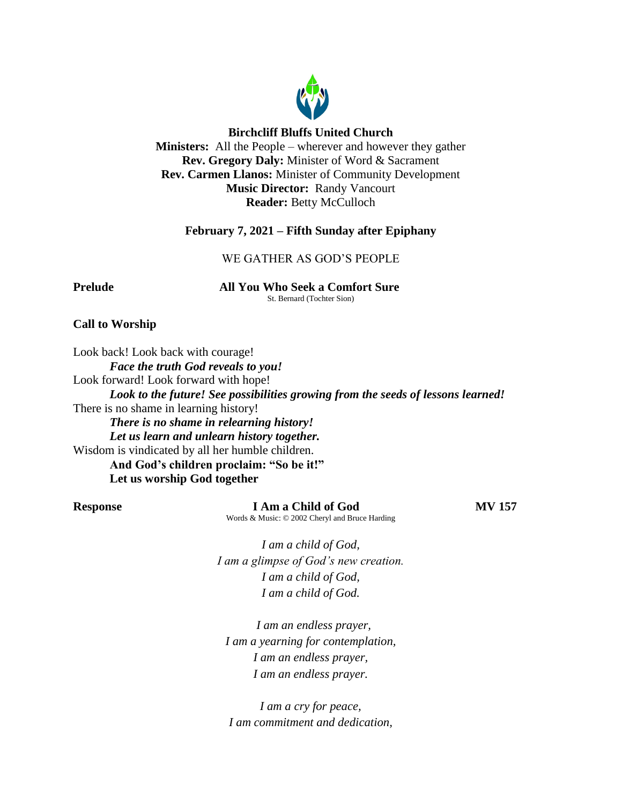

### **Birchcliff Bluffs United Church**

**Ministers:** All the People – wherever and however they gather **Rev. Gregory Daly:** Minister of Word & Sacrament **Rev. Carmen Llanos:** Minister of Community Development **Music Director:** Randy Vancourt **Reader:** Betty McCulloch

### **February 7, 2021 – Fifth Sunday after Epiphany**

### WE GATHER AS GOD'S PEOPLE

**Prelude All You Who Seek a Comfort Sure** St. Bernard (Tochter Sion)

### **Call to Worship**

Look back! Look back with courage! *Face the truth God reveals to you!* Look forward! Look forward with hope! *Look to the future! See possibilities growing from the seeds of lessons learned!* There is no shame in learning history! *There is no shame in relearning history! Let us learn and unlearn history together.* Wisdom is vindicated by all her humble children. **And God's children proclaim: "So be it!" Let us worship God together**

**Response I Am a Child of God MV 157** Words & Music: © 2002 Cheryl and Bruce Harding

*I am a child of God, I am a glimpse of God's new creation. I am a child of God, I am a child of God.*

 *I am an endless prayer, I am a yearning for contemplation, I am an endless prayer, I am an endless prayer.*

*I am a cry for peace, I am commitment and dedication,*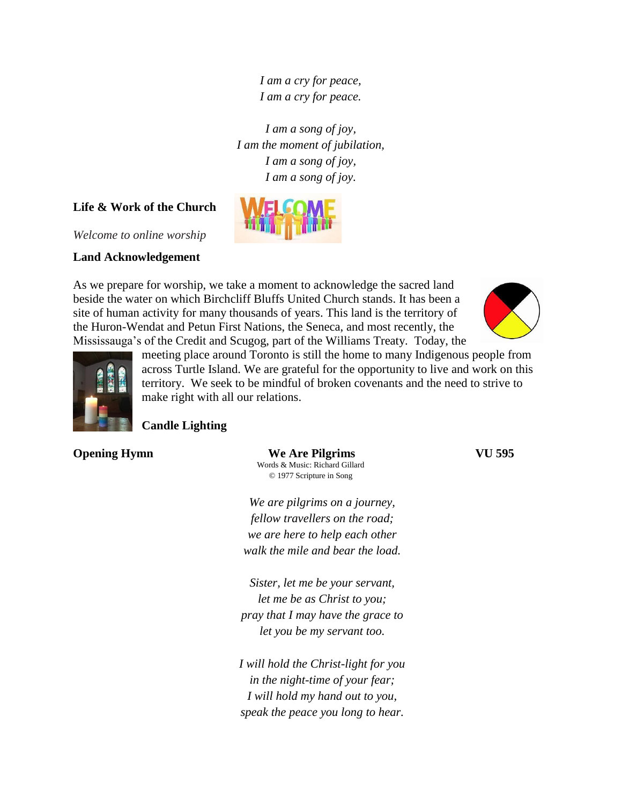*I am a cry for peace, I am a cry for peace.*

*I am a song of joy, I am the moment of jubilation, I am a song of joy, I am a song of joy.*

### **Life & Work of the Church**

*Welcome to online worship*

### **Land Acknowledgement**

As we prepare for worship, we take a moment to acknowledge the sacred land beside the water on which Birchcliff Bluffs United Church stands. It has been a site of human activity for many thousands of years. This land is the territory of the Huron-Wendat and Petun First Nations, the Seneca, and most recently, the Mississauga's of the Credit and Scugog, part of the Williams Treaty. Today, the





meeting place around Toronto is still the home to many Indigenous people from across Turtle Island. We are grateful for the opportunity to live and work on this territory. We seek to be mindful of broken covenants and the need to strive to make right with all our relations.

### **Candle Lighting**

**Opening Hymn We Are Pilgrims VU 595** Words & Music: Richard Gillard © 1977 Scripture in Song

> *We are pilgrims on a journey, fellow travellers on the road; we are here to help each other walk the mile and bear the load.*

*Sister, let me be your servant, let me be as Christ to you; pray that I may have the grace to let you be my servant too.*

*I will hold the Christ-light for you in the night-time of your fear; I will hold my hand out to you, speak the peace you long to hear.*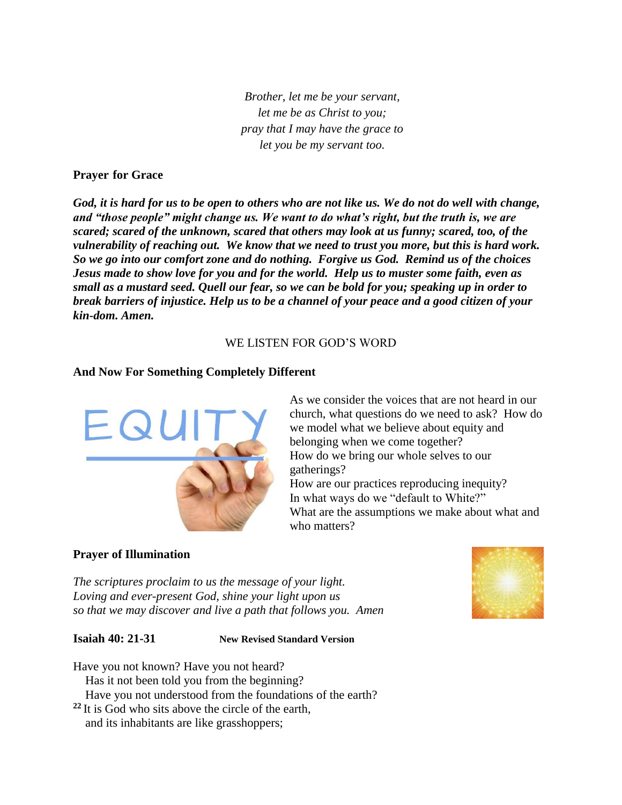*Brother, let me be your servant, let me be as Christ to you; pray that I may have the grace to let you be my servant too.*

### **Prayer for Grace**

*God, it is hard for us to be open to others who are not like us. We do not do well with change, and "those people" might change us. We want to do what's right, but the truth is, we are scared; scared of the unknown, scared that others may look at us funny; scared, too, of the vulnerability of reaching out. We know that we need to trust you more, but this is hard work. So we go into our comfort zone and do nothing. Forgive us God. Remind us of the choices Jesus made to show love for you and for the world. Help us to muster some faith, even as small as a mustard seed. Quell our fear, so we can be bold for you; speaking up in order to break barriers of injustice. Help us to be a channel of your peace and a good citizen of your kin-dom. Amen.*

### WE LISTEN FOR GOD'S WORD

### **And Now For Something Completely Different**



As we consider the voices that are not heard in our church, what questions do we need to ask? How do we model what we believe about equity and belonging when we come together? How do we bring our whole selves to our gatherings? How are our practices reproducing inequity?

In what ways do we "default to White?" What are the assumptions we make about what and who matters?

### **Prayer of Illumination**

*The scriptures proclaim to us the message of your light. Loving and ever-present God, shine your light upon us so that we may discover and live a path that follows you. Amen*



**Isaiah 40: 21-31 New Revised Standard Version**

Have you not known? Have you not heard? Has it not been told you from the beginning? Have you not understood from the foundations of the earth? **<sup>22</sup>** It is God who sits above the circle of the earth,

and its inhabitants are like grasshoppers;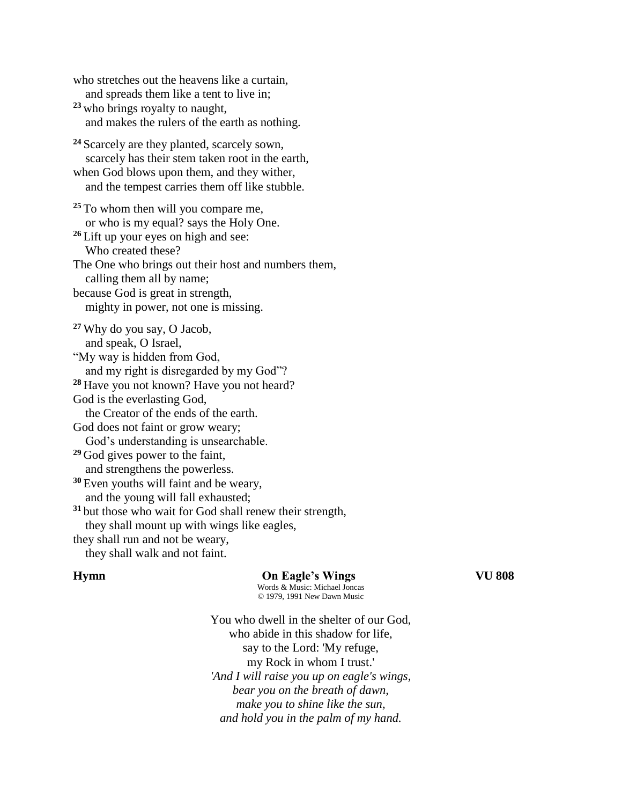who stretches out the heavens like a curtain, and spreads them like a tent to live in; **<sup>23</sup>** who brings royalty to naught, and makes the rulers of the earth as nothing. **<sup>24</sup>** Scarcely are they planted, scarcely sown, scarcely has their stem taken root in the earth, when God blows upon them, and they wither, and the tempest carries them off like stubble. **<sup>25</sup>** To whom then will you compare me, or who is my equal? says the Holy One. **<sup>26</sup>** Lift up your eyes on high and see: Who created these? The One who brings out their host and numbers them, calling them all by name; because God is great in strength, mighty in power, not one is missing. **<sup>27</sup>** Why do you say, O Jacob, and speak, O Israel, "My way is hidden from God, and my right is disregarded by my God"? **<sup>28</sup>** Have you not known? Have you not heard? God is the everlasting God, the Creator of the ends of the earth. God does not faint or grow weary; God's understanding is unsearchable. **<sup>29</sup>** God gives power to the faint, and strengthens the powerless. **<sup>30</sup>** Even youths will faint and be weary, and the young will fall exhausted; **<sup>31</sup>** but those who wait for God shall renew their strength, they shall mount up with wings like eagles, they shall run and not be weary, they shall walk and not faint.

### **Hymn On Eagle's Wings VU 808**

Words & Music: Michael Joncas © 1979, 1991 New Dawn Music

You who dwell in the shelter of our God, who abide in this shadow for life, say to the Lord: 'My refuge, my Rock in whom I trust.' *'And I will raise you up on eagle's wings, bear you on the breath of dawn, make you to shine like the sun, and hold you in the palm of my hand.*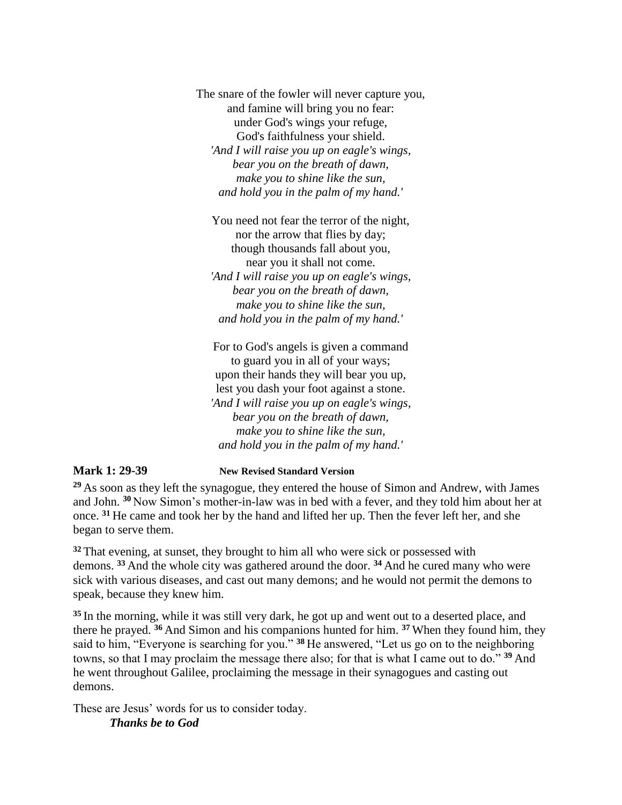The snare of the fowler will never capture you, and famine will bring you no fear: under God's wings your refuge, God's faithfulness your shield. *'And I will raise you up on eagle's wings, bear you on the breath of dawn, make you to shine like the sun, and hold you in the palm of my hand.'*

You need not fear the terror of the night, nor the arrow that flies by day; though thousands fall about you, near you it shall not come. *'And I will raise you up on eagle's wings, bear you on the breath of dawn, make you to shine like the sun, and hold you in the palm of my hand.'*

For to God's angels is given a command to guard you in all of your ways; upon their hands they will bear you up, lest you dash your foot against a stone. *'And I will raise you up on eagle's wings, bear you on the breath of dawn, make you to shine like the sun, and hold you in the palm of my hand.'*

**Mark 1: 29-39 New Revised Standard Version**

**<sup>29</sup>** As soon as they left the synagogue, they entered the house of Simon and Andrew, with James and John. **<sup>30</sup>** Now Simon's mother-in-law was in bed with a fever, and they told him about her at once. **<sup>31</sup>** He came and took her by the hand and lifted her up. Then the fever left her, and she began to serve them.

**<sup>32</sup>** That evening, at sunset, they brought to him all who were sick or possessed with demons. **<sup>33</sup>** And the whole city was gathered around the door. **<sup>34</sup>** And he cured many who were sick with various diseases, and cast out many demons; and he would not permit the demons to speak, because they knew him.

**<sup>35</sup>** In the morning, while it was still very dark, he got up and went out to a deserted place, and there he prayed. **<sup>36</sup>** And Simon and his companions hunted for him. **<sup>37</sup>** When they found him, they said to him, "Everyone is searching for you." **<sup>38</sup>** He answered, "Let us go on to the neighboring towns, so that I may proclaim the message there also; for that is what I came out to do." **<sup>39</sup>** And he went throughout Galilee, proclaiming the message in their synagogues and casting out demons.

These are Jesus' words for us to consider today. *Thanks be to God*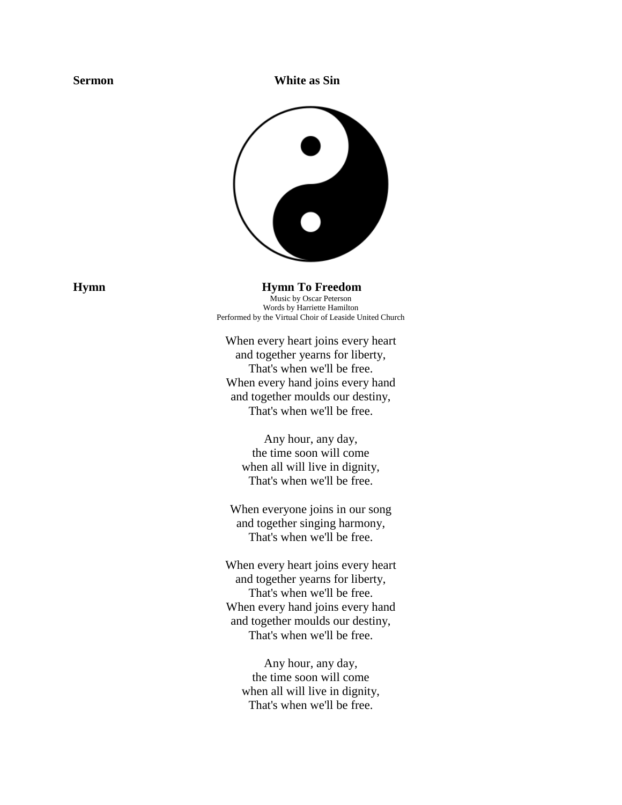**Sermon** White as Sin



**Hymn Hymn To Freedom** Music by Oscar Peterson Words by Harriette Hamilton Performed by the Virtual Choir of Leaside United Church

> When every heart joins every heart and together yearns for liberty, That's when we'll be free. When every hand joins every hand and together moulds our destiny, That's when we'll be free.

Any hour, any day, the time soon will come when all will live in dignity, That's when we'll be free.

When everyone joins in our song and together singing harmony, That's when we'll be free.

When every heart joins every heart and together yearns for liberty, That's when we'll be free. When every hand joins every hand and together moulds our destiny, That's when we'll be free.

Any hour, any day, the time soon will come when all will live in dignity, That's when we'll be free.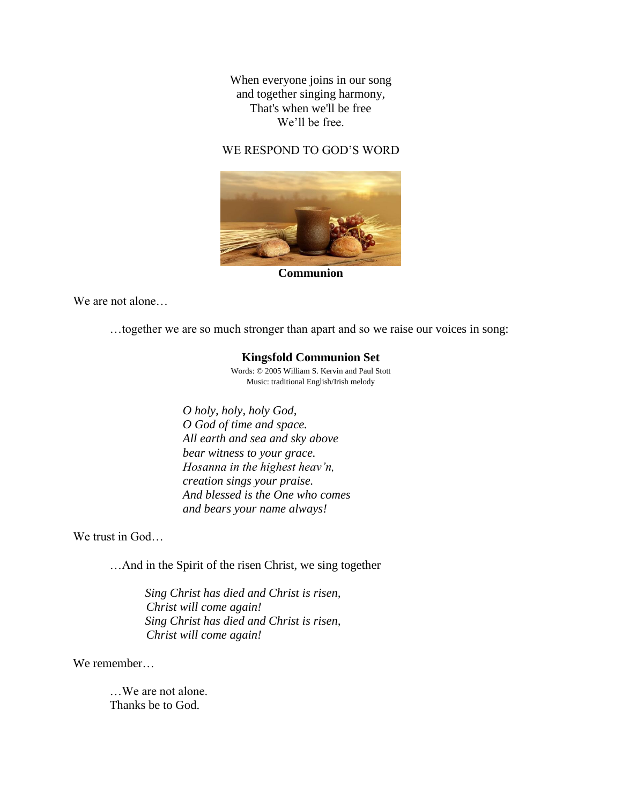When everyone joins in our song and together singing harmony, That's when we'll be free We'll be free.

### WE RESPOND TO GOD'S WORD



**Communion**

We are not alone…

…together we are so much stronger than apart and so we raise our voices in song:

### **Kingsfold Communion Set**

Words: © 2005 William S. Kervin and Paul Stott Music: traditional English/Irish melody

*O holy, holy, holy God, O God of time and space. All earth and sea and sky above bear witness to your grace. Hosanna in the highest heav'n, creation sings your praise. And blessed is the One who comes and bears your name always!*

We trust in God…

…And in the Spirit of the risen Christ, we sing together

*Sing Christ has died and Christ is risen, Christ will come again! Sing Christ has died and Christ is risen, Christ will come again!*

We remember

…We are not alone. Thanks be to God.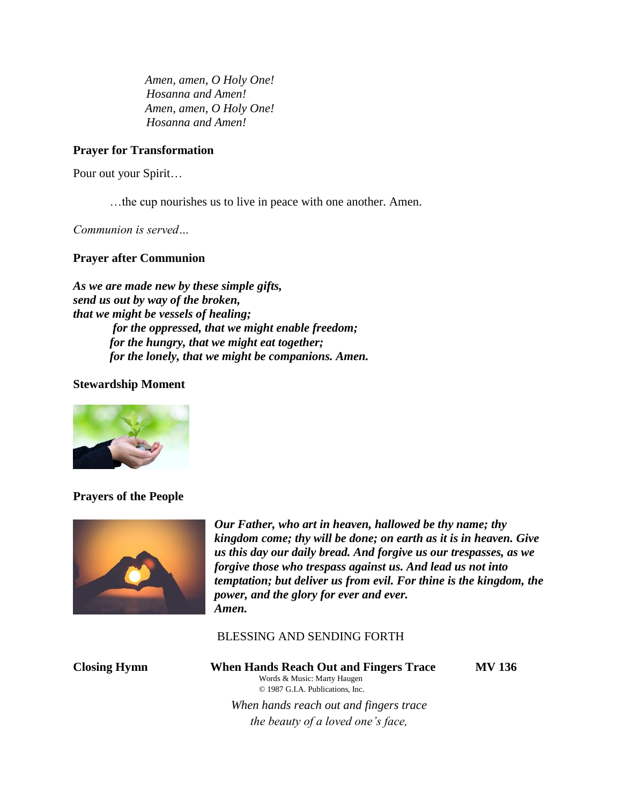*Amen, amen, O Holy One! Hosanna and Amen! Amen, amen, O Holy One! Hosanna and Amen!*

### **Prayer for Transformation**

Pour out your Spirit…

…the cup nourishes us to live in peace with one another. Amen.

*Communion is served…*

### **Prayer after Communion**

*As we are made new by these simple gifts, send us out by way of the broken, that we might be vessels of healing; for the oppressed, that we might enable freedom; for the hungry, that we might eat together; for the lonely, that we might be companions. Amen.* 

### **Stewardship Moment**



### **Prayers of the People**



*Our Father, who art in heaven, hallowed be thy name; thy kingdom come; thy will be done; on earth as it is in heaven. Give us this day our daily bread. And forgive us our trespasses, as we forgive those who trespass against us. And lead us not into temptation; but deliver us from evil. For thine is the kingdom, the power, and the glory for ever and ever. Amen.*

BLESSING AND SENDING FORTH

### **Closing Hymn When Hands Reach Out and Fingers Trace MV 136** Words & Music: Marty Haugen © 1987 G.I.A. Publications, Inc.

 *When hands reach out and fingers trace the beauty of a loved one's face,*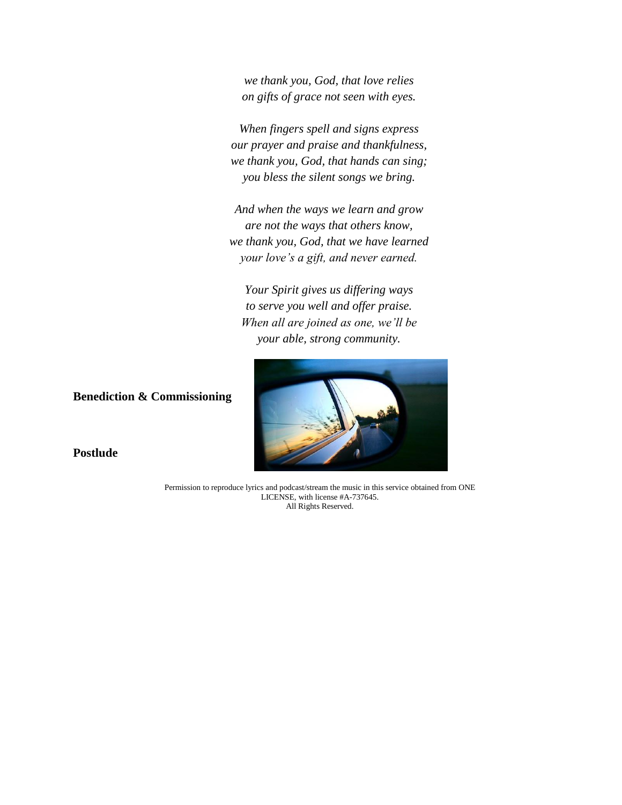*we thank you, God, that love relies on gifts of grace not seen with eyes.*

 *When fingers spell and signs express our prayer and praise and thankfulness, we thank you, God, that hands can sing; you bless the silent songs we bring.*

 *And when the ways we learn and grow are not the ways that others know, we thank you, God, that we have learned your love's a gift, and never earned.*

 *Your Spirit gives us differing ways to serve you well and offer praise. When all are joined as one, we'll be your able, strong community.*



**Postlude**

**Benediction & Commissioning**

Permission to reproduce lyrics and podcast/stream the music in this service obtained from ONE LICENSE, with license #A-737645. All Rights Reserved.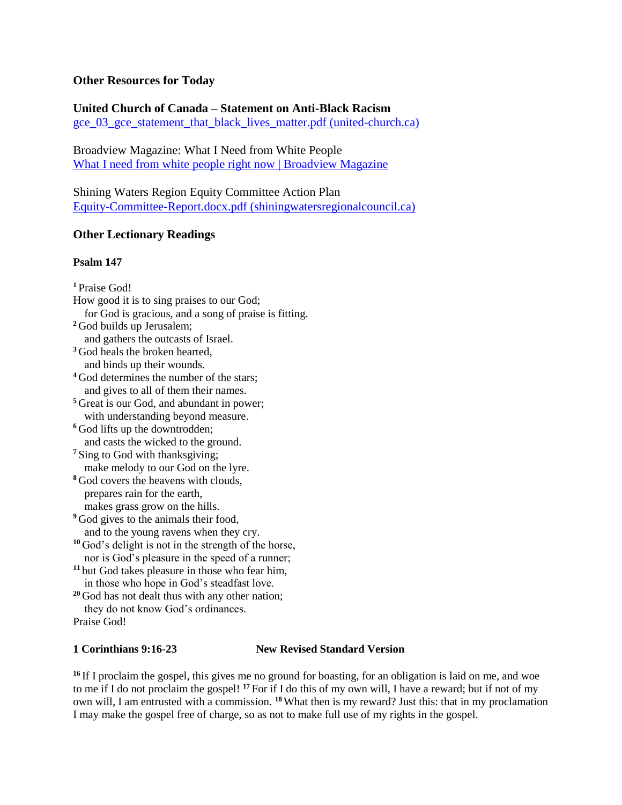### **Other Resources for Today**

# **United Church of Canada – Statement on Anti-Black Racism**

[gce\\_03\\_gce\\_statement\\_that\\_black\\_lives\\_matter.pdf \(united-church.ca\)](https://united-church.ca/sites/default/files/gce_03_gce_statement_that_black_lives_matter.pdf)

Broadview Magazine: What I Need from White People [What I need from white people right now | Broadview Magazine](https://broadview.org/what-i-need-from-white-people/)

Shining Waters Region Equity Committee Action Plan [Equity-Committee-Report.docx.pdf \(shiningwatersregionalcouncil.ca\)](https://shiningwatersregionalcouncil.ca/wp-content/uploads/2020/09/Equity-Committee-Report.docx.pdf)

## **Other Lectionary Readings**

### **Psalm 147**

**<sup>1</sup>** Praise God! How good it is to sing praises to our God; for God is gracious, and a song of praise is fitting. **<sup>2</sup>** God builds up Jerusalem; and gathers the outcasts of Israel. **<sup>3</sup>** God heals the broken hearted, and binds up their wounds. <sup>4</sup> God determines the number of the stars; and gives to all of them their names. **<sup>5</sup>** Great is our God, and abundant in power; with understanding beyond measure. **<sup>6</sup>** God lifts up the downtrodden; and casts the wicked to the ground. **<sup>7</sup>** Sing to God with thanksgiving; make melody to our God on the lyre. **<sup>8</sup>** God covers the heavens with clouds, prepares rain for the earth, makes grass grow on the hills. <sup>9</sup> God gives to the animals their food, and to the young ravens when they cry. **<sup>10</sup>** God's delight is not in the strength of the horse, nor is God's pleasure in the speed of a runner; **<sup>11</sup>** but God takes pleasure in those who fear him, in those who hope in God's steadfast love. **<sup>20</sup>** God has not dealt thus with any other nation; they do not know God's ordinances. Praise God!

### **1 Corinthians 9:16-23 New Revised Standard Version**

<sup>16</sup> If I proclaim the gospel, this gives me no ground for boasting, for an obligation is laid on me, and woe to me if I do not proclaim the gospel! **<sup>17</sup>** For if I do this of my own will, I have a reward; but if not of my own will, I am entrusted with a commission. **<sup>18</sup>**What then is my reward? Just this: that in my proclamation I may make the gospel free of charge, so as not to make full use of my rights in the gospel.